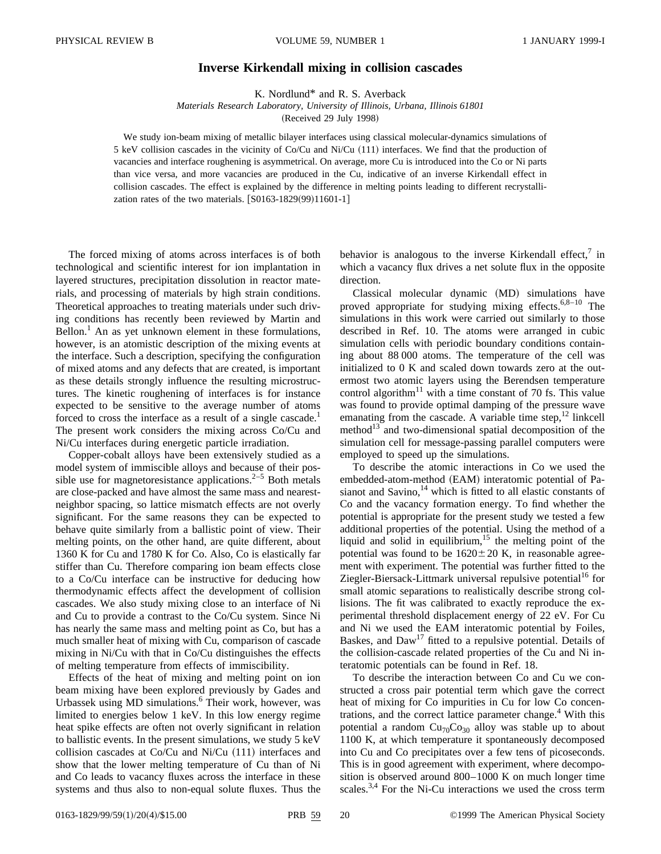## **Inverse Kirkendall mixing in collision cascades**

K. Nordlund\* and R. S. Averback

*Materials Research Laboratory, University of Illinois, Urbana, Illinois 61801* (Received 29 July 1998)

We study ion-beam mixing of metallic bilayer interfaces using classical molecular-dynamics simulations of 5 keV collision cascades in the vicinity of  $Co/Cu$  and  $Ni/Cu$  (111) interfaces. We find that the production of vacancies and interface roughening is asymmetrical. On average, more Cu is introduced into the Co or Ni parts than vice versa, and more vacancies are produced in the Cu, indicative of an inverse Kirkendall effect in collision cascades. The effect is explained by the difference in melting points leading to different recrystallization rates of the two materials.  $[$0163-1829(99)11601-1]$ 

The forced mixing of atoms across interfaces is of both technological and scientific interest for ion implantation in layered structures, precipitation dissolution in reactor materials, and processing of materials by high strain conditions. Theoretical approaches to treating materials under such driving conditions has recently been reviewed by Martin and Bellon.<sup>1</sup> An as yet unknown element in these formulations, however, is an atomistic description of the mixing events at the interface. Such a description, specifying the configuration of mixed atoms and any defects that are created, is important as these details strongly influence the resulting microstructures. The kinetic roughening of interfaces is for instance expected to be sensitive to the average number of atoms forced to cross the interface as a result of a single cascade.<sup>1</sup> The present work considers the mixing across Co/Cu and Ni/Cu interfaces during energetic particle irradiation.

Copper-cobalt alloys have been extensively studied as a model system of immiscible alloys and because of their possible use for magnetoresistance applications. $2-5$  Both metals are close-packed and have almost the same mass and nearestneighbor spacing, so lattice mismatch effects are not overly significant. For the same reasons they can be expected to behave quite similarly from a ballistic point of view. Their melting points, on the other hand, are quite different, about 1360 K for Cu and 1780 K for Co. Also, Co is elastically far stiffer than Cu. Therefore comparing ion beam effects close to a Co/Cu interface can be instructive for deducing how thermodynamic effects affect the development of collision cascades. We also study mixing close to an interface of Ni and Cu to provide a contrast to the Co/Cu system. Since Ni has nearly the same mass and melting point as Co, but has a much smaller heat of mixing with Cu, comparison of cascade mixing in Ni/Cu with that in Co/Cu distinguishes the effects of melting temperature from effects of immiscibility.

Effects of the heat of mixing and melting point on ion beam mixing have been explored previously by Gades and Urbassek using MD simulations.<sup>6</sup> Their work, however, was limited to energies below 1 keV. In this low energy regime heat spike effects are often not overly significant in relation to ballistic events. In the present simulations, we study 5 keV collision cascades at  $Co/Cu$  and  $Ni/Cu$   $(111)$  interfaces and show that the lower melting temperature of Cu than of Ni and Co leads to vacancy fluxes across the interface in these systems and thus also to non-equal solute fluxes. Thus the

behavior is analogous to the inverse Kirkendall effect, $\frac{7}{1}$  in which a vacancy flux drives a net solute flux in the opposite direction.

Classical molecular dynamic (MD) simulations have proved appropriate for studying mixing effects. $6,8-10$  The simulations in this work were carried out similarly to those described in Ref. 10. The atoms were arranged in cubic simulation cells with periodic boundary conditions containing about 88 000 atoms. The temperature of the cell was initialized to 0 K and scaled down towards zero at the outermost two atomic layers using the Berendsen temperature control algorithm<sup>11</sup> with a time constant of 70 fs. This value was found to provide optimal damping of the pressure wave emanating from the cascade. A variable time step, $^{12}$  linkcell method<sup>13</sup> and two-dimensional spatial decomposition of the simulation cell for message-passing parallel computers were employed to speed up the simulations.

To describe the atomic interactions in Co we used the embedded-atom-method (EAM) interatomic potential of Pasianot and Savino, $14$  which is fitted to all elastic constants of Co and the vacancy formation energy. To find whether the potential is appropriate for the present study we tested a few additional properties of the potential. Using the method of a liquid and solid in equilibrium, $15$  the melting point of the potential was found to be  $1620 \pm 20$  K, in reasonable agreement with experiment. The potential was further fitted to the Ziegler-Biersack-Littmark universal repulsive potential<sup>16</sup> for small atomic separations to realistically describe strong collisions. The fit was calibrated to exactly reproduce the experimental threshold displacement energy of 22 eV. For Cu and Ni we used the EAM interatomic potential by Foiles, Baskes, and  $Daw<sup>17</sup>$  fitted to a repulsive potential. Details of the collision-cascade related properties of the Cu and Ni interatomic potentials can be found in Ref. 18.

To describe the interaction between Co and Cu we constructed a cross pair potential term which gave the correct heat of mixing for Co impurities in Cu for low Co concentrations, and the correct lattice parameter change.<sup>4</sup> With this potential a random  $Cu_{70}Co_{30}$  alloy was stable up to about 1100 K, at which temperature it spontaneously decomposed into Cu and Co precipitates over a few tens of picoseconds. This is in good agreement with experiment, where decomposition is observed around 800–1000 K on much longer time scales. $3,4$  For the Ni-Cu interactions we used the cross term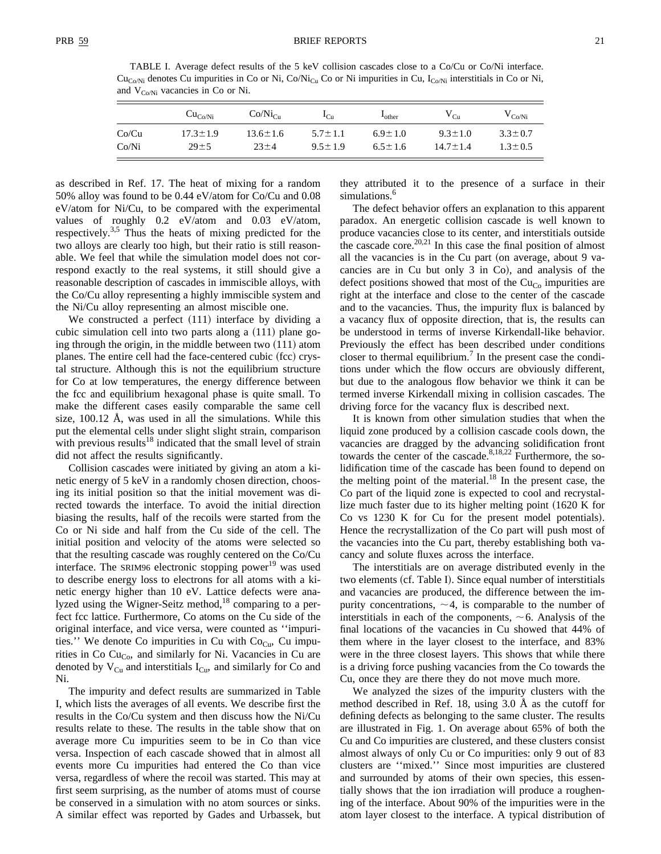TABLE I. Average defect results of the 5 keV collision cascades close to a Co/Cu or Co/Ni interface.  $Cu_{Co/Ni}$  denotes Cu impurities in Co or Ni, Co/Ni<sub>Cu</sub> Co or Ni impurities in Cu, I<sub>Co/Ni</sub> interstitials in Co or Ni, and  $V_{C_0/Ni}$  vacancies in Co or Ni.

|       | Cu <sub>Co/Ni</sub> | $Co/Ni_{Cu}$   | ւ <sub>Cu</sub> | $L_{other}$   | $V_{Cu}$       | $V_{Co/Ni}$   |
|-------|---------------------|----------------|-----------------|---------------|----------------|---------------|
| Co/Cu | $17.3 \pm 1.9$      | $13.6 \pm 1.6$ | $5.7 \pm 1.1$   | $6.9 \pm 1.0$ | $9.3 \pm 1.0$  | $3.3 \pm 0.7$ |
| Co/Ni | $29 \pm 5$          | $23 + 4$       | $9.5 + 1.9$     | $6.5 \pm 1.6$ | $14.7 \pm 1.4$ | $1.3 \pm 0.5$ |

as described in Ref. 17. The heat of mixing for a random 50% alloy was found to be 0.44 eV/atom for Co/Cu and 0.08 eV/atom for Ni/Cu, to be compared with the experimental values of roughly 0.2 eV/atom and 0.03 eV/atom, respectively.3,5 Thus the heats of mixing predicted for the two alloys are clearly too high, but their ratio is still reasonable. We feel that while the simulation model does not correspond exactly to the real systems, it still should give a reasonable description of cascades in immiscible alloys, with the Co/Cu alloy representing a highly immiscible system and the Ni/Cu alloy representing an almost miscible one.

We constructed a perfect  $(111)$  interface by dividing a cubic simulation cell into two parts along a  $(111)$  plane going through the origin, in the middle between two  $(111)$  atom planes. The entire cell had the face-centered cubic (fcc) crystal structure. Although this is not the equilibrium structure for Co at low temperatures, the energy difference between the fcc and equilibrium hexagonal phase is quite small. To make the different cases easily comparable the same cell size, 100.12 Å, was used in all the simulations. While this put the elemental cells under slight slight strain, comparison with previous results<sup>18</sup> indicated that the small level of strain did not affect the results significantly.

Collision cascades were initiated by giving an atom a kinetic energy of 5 keV in a randomly chosen direction, choosing its initial position so that the initial movement was directed towards the interface. To avoid the initial direction biasing the results, half of the recoils were started from the Co or Ni side and half from the Cu side of the cell. The initial position and velocity of the atoms were selected so that the resulting cascade was roughly centered on the Co/Cu interface. The SRIM96 electronic stopping power<sup>19</sup> was used to describe energy loss to electrons for all atoms with a kinetic energy higher than 10 eV. Lattice defects were analyzed using the Wigner-Seitz method, $18$  comparing to a perfect fcc lattice. Furthermore, Co atoms on the Cu side of the original interface, and vice versa, were counted as ''impurities.'' We denote Co impurities in Cu with  $Co<sub>Cu</sub>$ , Cu impurities in Co  $Cu<sub>Co</sub>$ , and similarly for Ni. Vacancies in Cu are denoted by  $V_{Cu}$  and interstitials  $I_{Cu}$ , and similarly for Co and Ni.

The impurity and defect results are summarized in Table I, which lists the averages of all events. We describe first the results in the Co/Cu system and then discuss how the Ni/Cu results relate to these. The results in the table show that on average more Cu impurities seem to be in Co than vice versa. Inspection of each cascade showed that in almost all events more Cu impurities had entered the Co than vice versa, regardless of where the recoil was started. This may at first seem surprising, as the number of atoms must of course be conserved in a simulation with no atom sources or sinks. A similar effect was reported by Gades and Urbassek, but they attributed it to the presence of a surface in their simulations.<sup>6</sup>

The defect behavior offers an explanation to this apparent paradox. An energetic collision cascade is well known to produce vacancies close to its center, and interstitials outside the cascade core.<sup>20,21</sup> In this case the final position of almost all the vacancies is in the Cu part (on average, about  $9$  vacancies are in Cu but only  $3$  in Co), and analysis of the defect positions showed that most of the  $Cu<sub>Co</sub>$  impurities are right at the interface and close to the center of the cascade and to the vacancies. Thus, the impurity flux is balanced by a vacancy flux of opposite direction, that is, the results can be understood in terms of inverse Kirkendall-like behavior. Previously the effect has been described under conditions closer to thermal equilibrium.<sup>7</sup> In the present case the conditions under which the flow occurs are obviously different, but due to the analogous flow behavior we think it can be termed inverse Kirkendall mixing in collision cascades. The driving force for the vacancy flux is described next.

It is known from other simulation studies that when the liquid zone produced by a collision cascade cools down, the vacancies are dragged by the advancing solidification front towards the center of the cascade. $8,18,22$  Furthermore, the solidification time of the cascade has been found to depend on the melting point of the material. $18$  In the present case, the Co part of the liquid zone is expected to cool and recrystallize much faster due to its higher melting point  $(1620 K)$  for Co vs 1230 K for Cu for the present model potentials). Hence the recrystallization of the Co part will push most of the vacancies into the Cu part, thereby establishing both vacancy and solute fluxes across the interface.

The interstitials are on average distributed evenly in the two elements (cf. Table I). Since equal number of interstitials and vacancies are produced, the difference between the impurity concentrations,  $\sim$  4, is comparable to the number of interstitials in each of the components,  $\sim$  6. Analysis of the final locations of the vacancies in Cu showed that 44% of them where in the layer closest to the interface, and 83% were in the three closest layers. This shows that while there is a driving force pushing vacancies from the Co towards the Cu, once they are there they do not move much more.

We analyzed the sizes of the impurity clusters with the method described in Ref. 18, using 3.0 Å as the cutoff for defining defects as belonging to the same cluster. The results are illustrated in Fig. 1. On average about 65% of both the Cu and Co impurities are clustered, and these clusters consist almost always of only Cu or Co impurities: only 9 out of 83 clusters are ''mixed.'' Since most impurities are clustered and surrounded by atoms of their own species, this essentially shows that the ion irradiation will produce a roughening of the interface. About 90% of the impurities were in the atom layer closest to the interface. A typical distribution of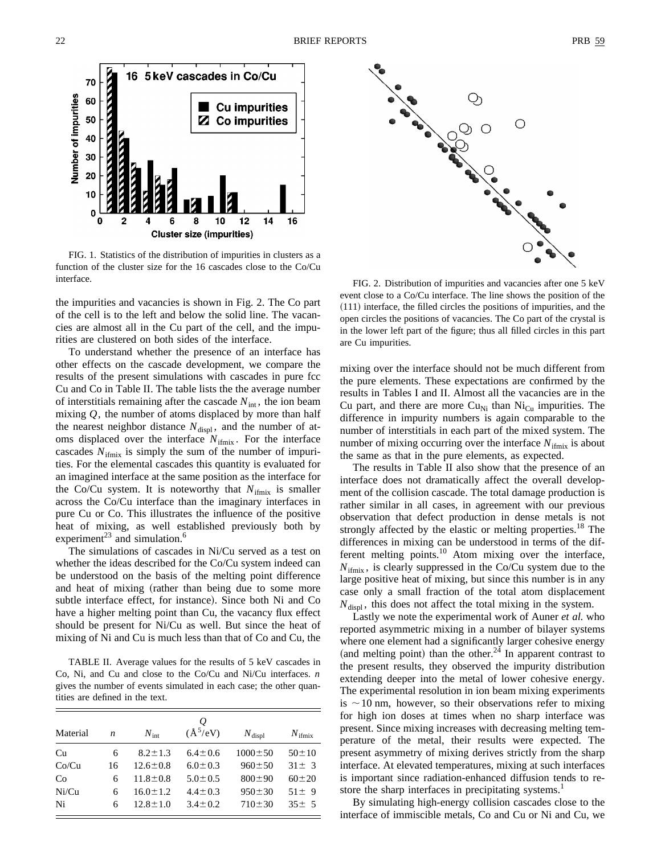

FIG. 1. Statistics of the distribution of impurities in clusters as a function of the cluster size for the 16 cascades close to the Co/Cu interface.

the impurities and vacancies is shown in Fig. 2. The Co part of the cell is to the left and below the solid line. The vacancies are almost all in the Cu part of the cell, and the impurities are clustered on both sides of the interface.

To understand whether the presence of an interface has other effects on the cascade development, we compare the results of the present simulations with cascades in pure fcc Cu and Co in Table II. The table lists the the average number of interstitials remaining after the cascade  $N_{int}$ , the ion beam mixing *Q*, the number of atoms displaced by more than half the nearest neighbor distance  $N_{\text{displ}}$ , and the number of atoms displaced over the interface  $N_{\text{ifmix}}$ . For the interface cascades  $N_{\text{ifmix}}$  is simply the sum of the number of impurities. For the elemental cascades this quantity is evaluated for an imagined interface at the same position as the interface for the Co/Cu system. It is noteworthy that  $N_{\text{ifmix}}$  is smaller across the Co/Cu interface than the imaginary interfaces in pure Cu or Co. This illustrates the influence of the positive heat of mixing, as well established previously both by experiment<sup>23</sup> and simulation.<sup>6</sup>

The simulations of cascades in Ni/Cu served as a test on whether the ideas described for the Co/Cu system indeed can be understood on the basis of the melting point difference and heat of mixing (rather than being due to some more subtle interface effect, for instance). Since both Ni and Co have a higher melting point than Cu, the vacancy flux effect should be present for Ni/Cu as well. But since the heat of mixing of Ni and Cu is much less than that of Co and Cu, the

TABLE II. Average values for the results of 5 keV cascades in Co, Ni, and Cu and close to the Co/Cu and Ni/Cu interfaces. *n* gives the number of events simulated in each case; the other quantities are defined in the text.

| Material | n  | $N_{\rm int}$  | $\varrho$<br>$(\text{Å}^{5}/\text{eV})$ | $N_{\text{displ}}$ | $N_{\text{ifmix}}$ |
|----------|----|----------------|-----------------------------------------|--------------------|--------------------|
| Cu       | 6  | $8.2 \pm 1.3$  | $6.4 \pm 0.6$                           | $1000 \pm 50$      | $50 \pm 10$        |
| Co/Cu    | 16 | $12.6 \pm 0.8$ | $6.0 \pm 0.3$                           | $960 \pm 50$       | $31 \pm 3$         |
| Co       | 6  | $11.8 \pm 0.8$ | $5.0 \pm 0.5$                           | $800 \pm 90$       | $60 \pm 20$        |
| Ni/Cu    | 6  | $16.0 \pm 1.2$ | $4.4 \pm 0.3$                           | $950 \pm 30$       | $51 \pm 9$         |
| Ni       | 6  | $12.8 \pm 1.0$ | $3.4 \pm 0.2$                           | $710 \pm 30$       | $35 \pm 5$         |



FIG. 2. Distribution of impurities and vacancies after one 5 keV event close to a Co/Cu interface. The line shows the position of the  $(111)$  interface, the filled circles the positions of impurities, and the open circles the positions of vacancies. The Co part of the crystal is in the lower left part of the figure; thus all filled circles in this part are Cu impurities.

mixing over the interface should not be much different from the pure elements. These expectations are confirmed by the results in Tables I and II. Almost all the vacancies are in the Cu part, and there are more  $Cu_{Ni}$  than  $Ni_{Cu}$  impurities. The difference in impurity numbers is again comparable to the number of interstitials in each part of the mixed system. The number of mixing occurring over the interface  $N_{\text{ifmix}}$  is about the same as that in the pure elements, as expected.

The results in Table II also show that the presence of an interface does not dramatically affect the overall development of the collision cascade. The total damage production is rather similar in all cases, in agreement with our previous observation that defect production in dense metals is not strongly affected by the elastic or melting properties.<sup>18</sup> The differences in mixing can be understood in terms of the different melting points.<sup>10</sup> Atom mixing over the interface,  $N_{\text{ifmix}}$ , is clearly suppressed in the Co/Cu system due to the large positive heat of mixing, but since this number is in any case only a small fraction of the total atom displacement  $N_{\text{displ}}$ , this does not affect the total mixing in the system.

Lastly we note the experimental work of Auner *et al.* who reported asymmetric mixing in a number of bilayer systems where one element had a significantly larger cohesive energy (and melting point) than the other.<sup>24</sup> In apparent contrast to the present results, they observed the impurity distribution extending deeper into the metal of lower cohesive energy. The experimental resolution in ion beam mixing experiments is  $\sim$ 10 nm, however, so their observations refer to mixing for high ion doses at times when no sharp interface was present. Since mixing increases with decreasing melting temperature of the metal, their results were expected. The present asymmetry of mixing derives strictly from the sharp interface. At elevated temperatures, mixing at such interfaces is important since radiation-enhanced diffusion tends to restore the sharp interfaces in precipitating systems.<sup>1</sup>

By simulating high-energy collision cascades close to the interface of immiscible metals, Co and Cu or Ni and Cu, we